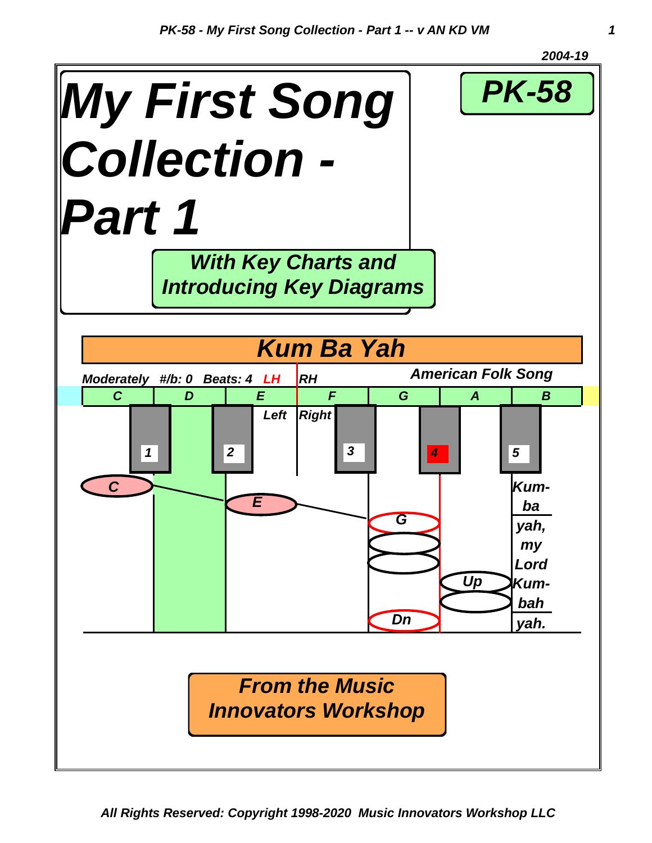

*All Rights Reserved: Copyright 1998-2020 Music Innovators Workshop LLC*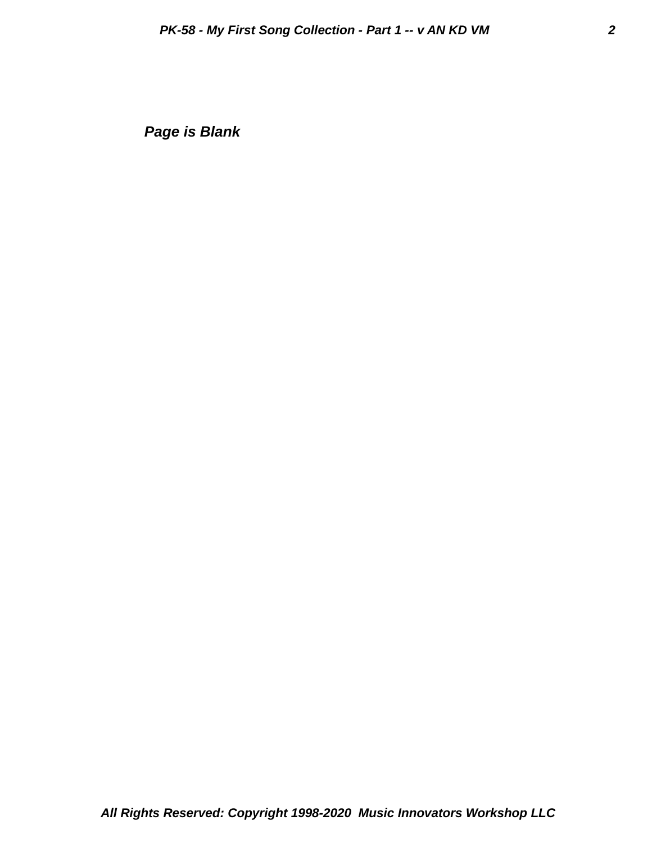*Page is Blank*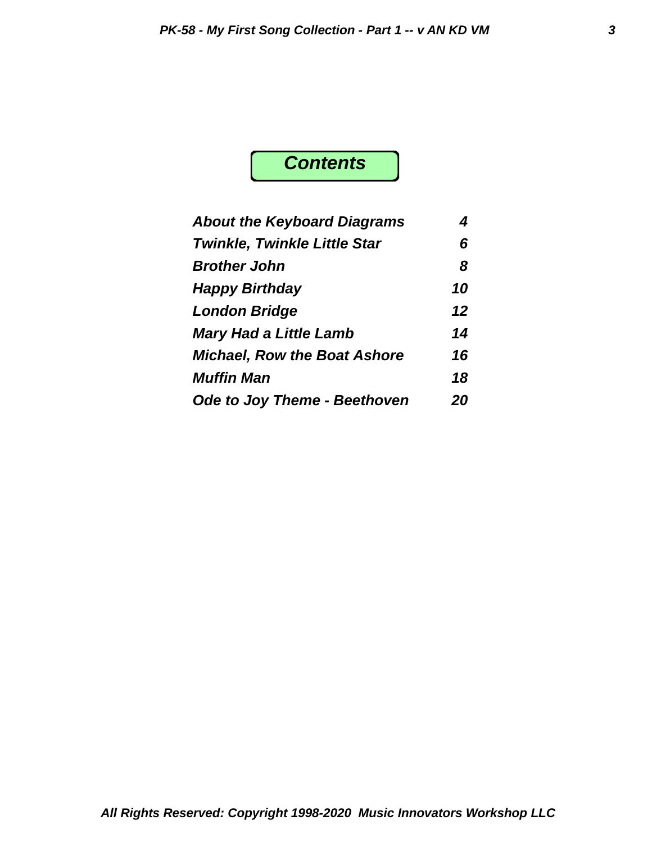## *Contents*

| <b>About the Keyboard Diagrams</b>  | 4  |
|-------------------------------------|----|
| <b>Twinkle, Twinkle Little Star</b> | 6  |
| <b>Brother John</b>                 | 8  |
| <b>Happy Birthday</b>               | 10 |
| <b>London Bridge</b>                | 12 |
| <b>Mary Had a Little Lamb</b>       | 14 |
| <b>Michael, Row the Boat Ashore</b> | 16 |
| <b>Muffin Man</b>                   | 18 |
| <b>Ode to Joy Theme - Beethoven</b> | 20 |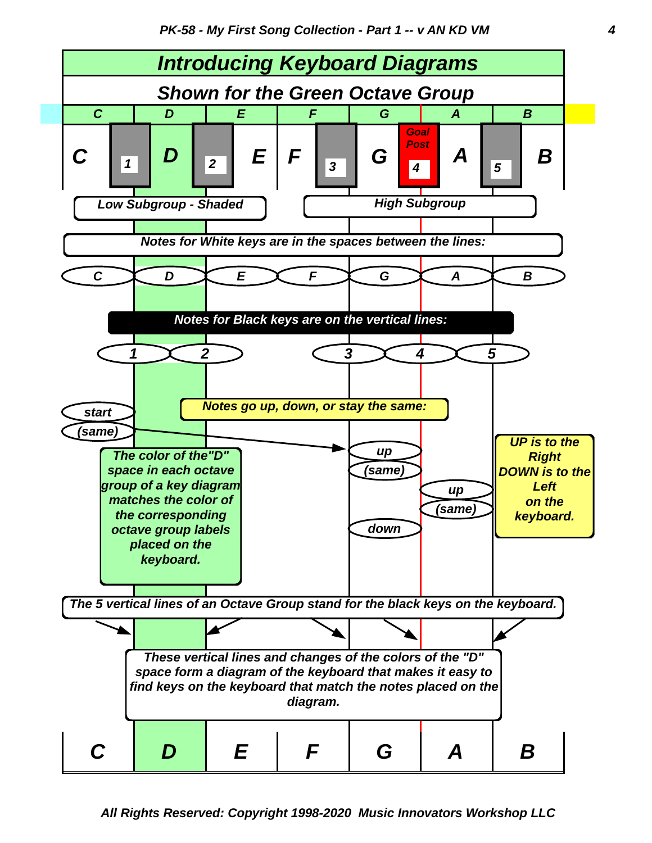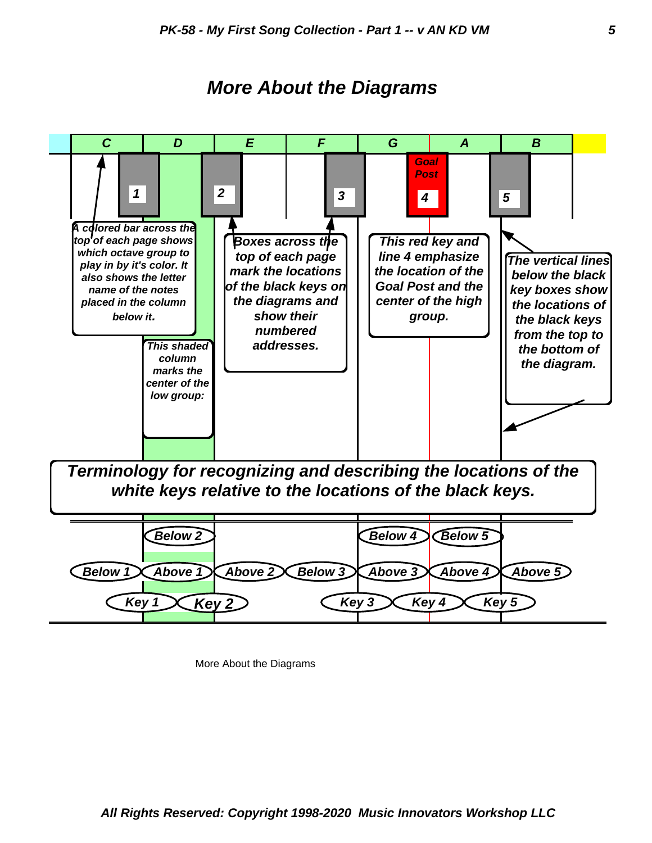*More About the Diagrams*



More About the Diagrams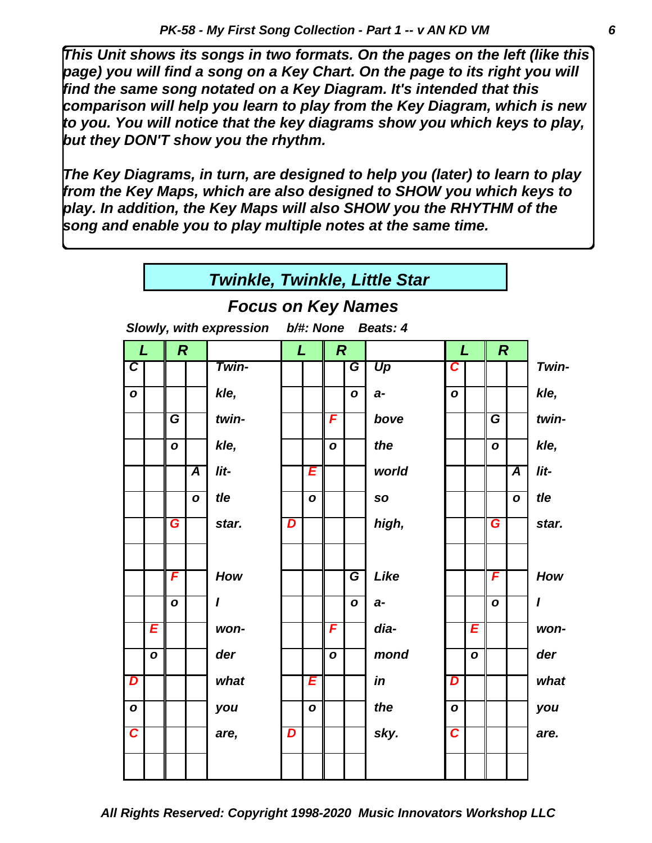*This Unit shows its songs in two formats. On the pages on the left (like this page) you will find a song on a Key Chart. On the page to its right you will find the same song notated on a Key Diagram. It's intended that this comparison will help you learn to play from the Key Diagram, which is new to you. You will notice that the key diagrams show you which keys to play, but they DON'T show you the rhythm.*

*The Key Diagrams, in turn, are designed to help you (later) to learn to play from the Key Maps, which are also designed to SHOW you which keys to play. In addition, the Key Maps will also SHOW you the RHYTHM of the song and enable you to play multiple notes at the same time.*

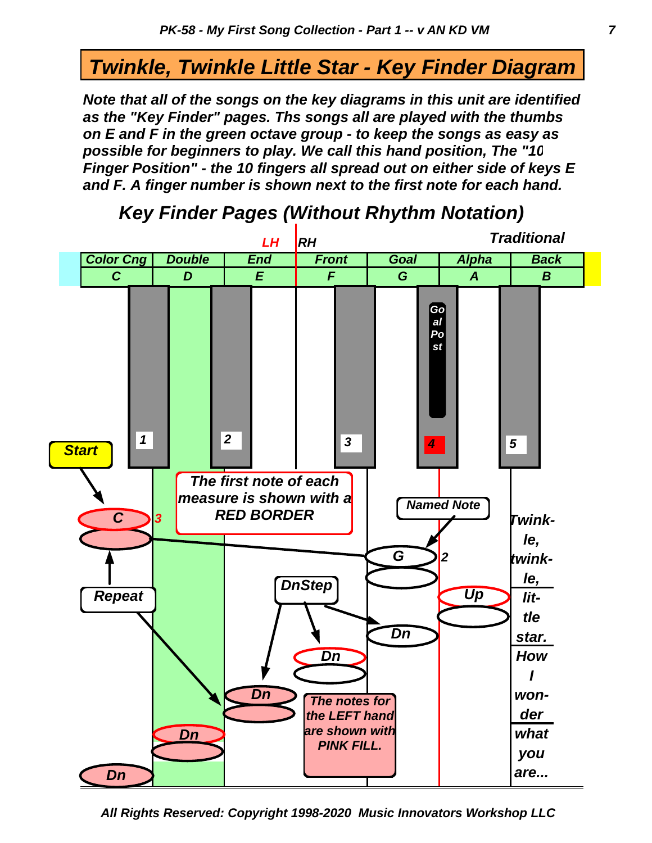# *Twinkle, Twinkle Little Star - Key Finder Diagram*

*and F. A finger number is shown next to the first note for each hand. Finger Position" - the 10 fingers all spread out on either side of keys E possible for beginners to play. We call this hand position, The "10 on E and F in the green octave group - to keep the songs as easy as as the "Key Finder" pages. Ths songs all are played with the thumbs Note that all of the songs on the key diagrams in this unit are identified*





*All Rights Reserved: Copyright 1998-2020 Music Innovators Workshop LLC*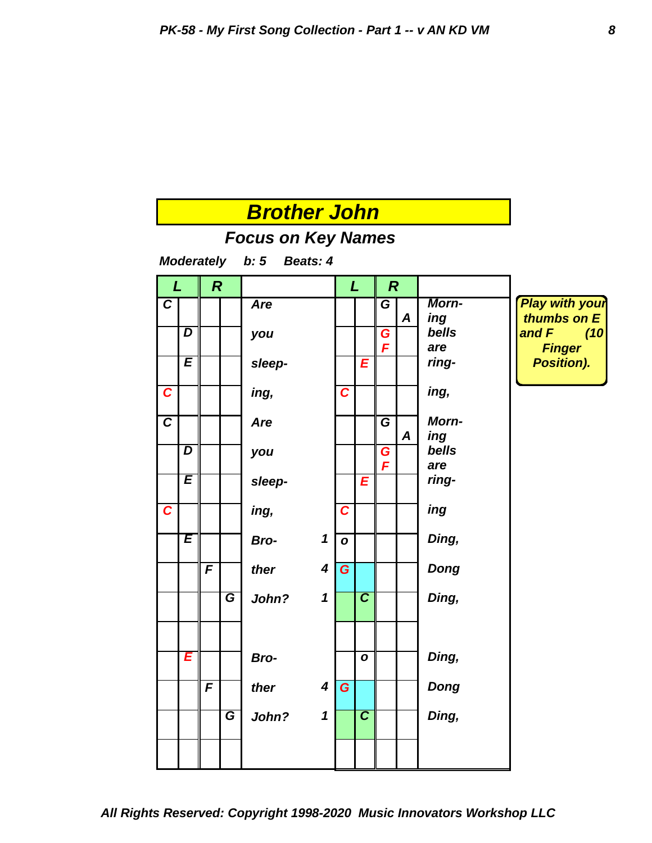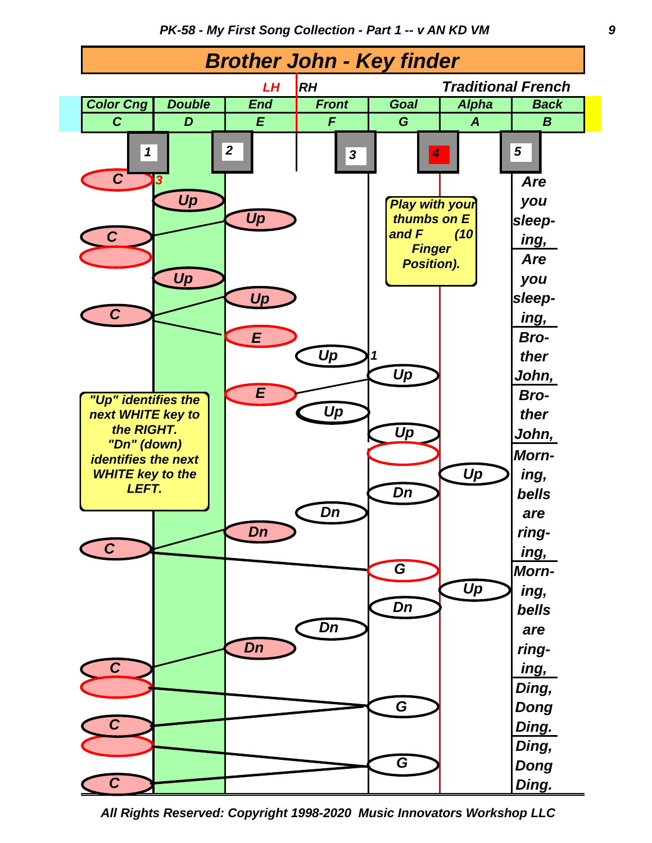

*All Rights Reserved: Copyright 1998-2020 Music Innovators Workshop LLC*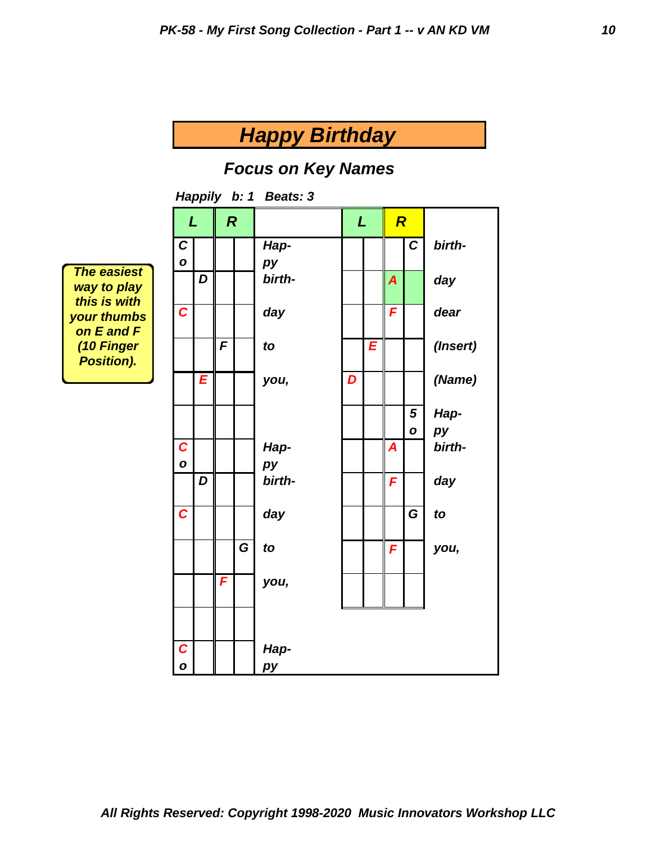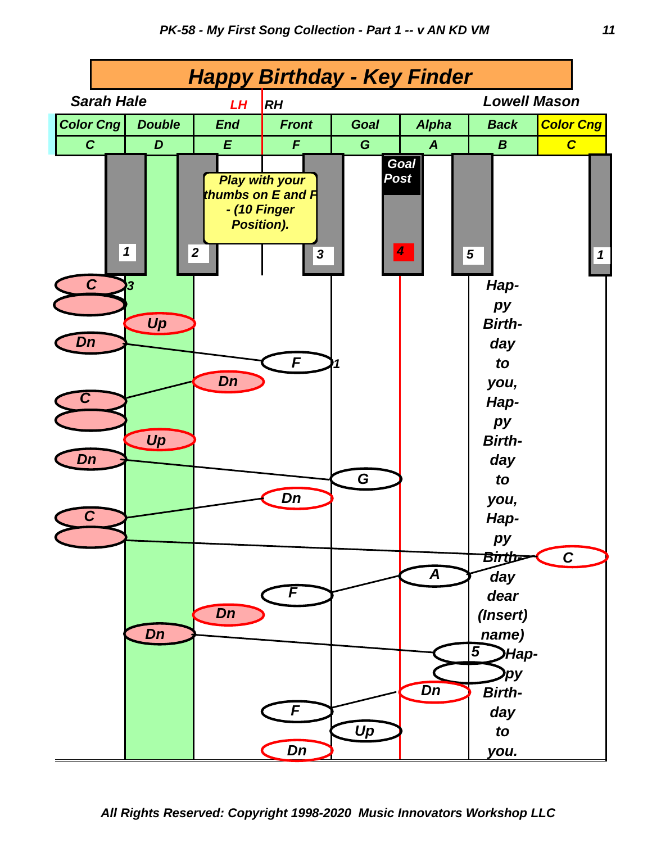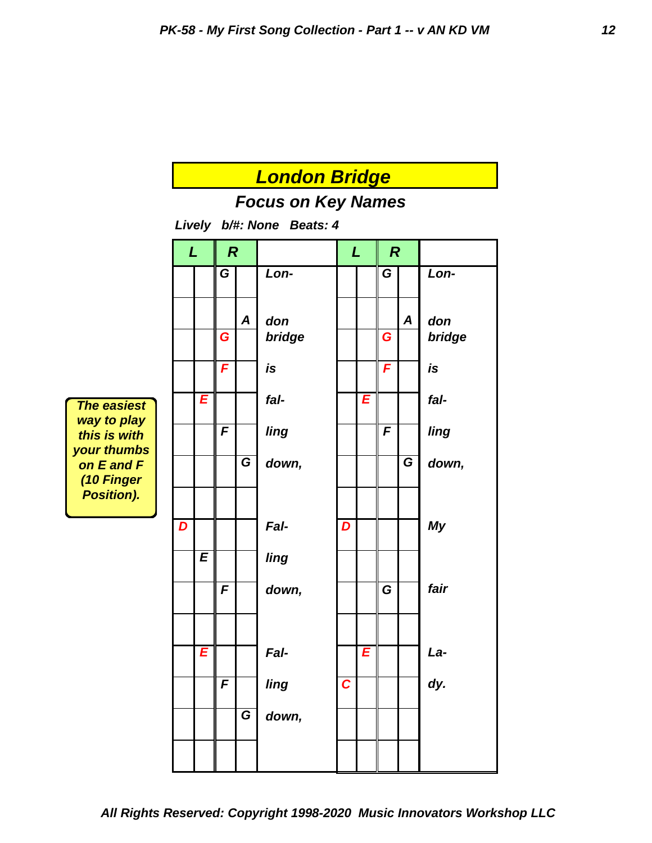## *London Bridge*

#### *Focus on Key Names*

*Lively b/#: None Beats: 4*

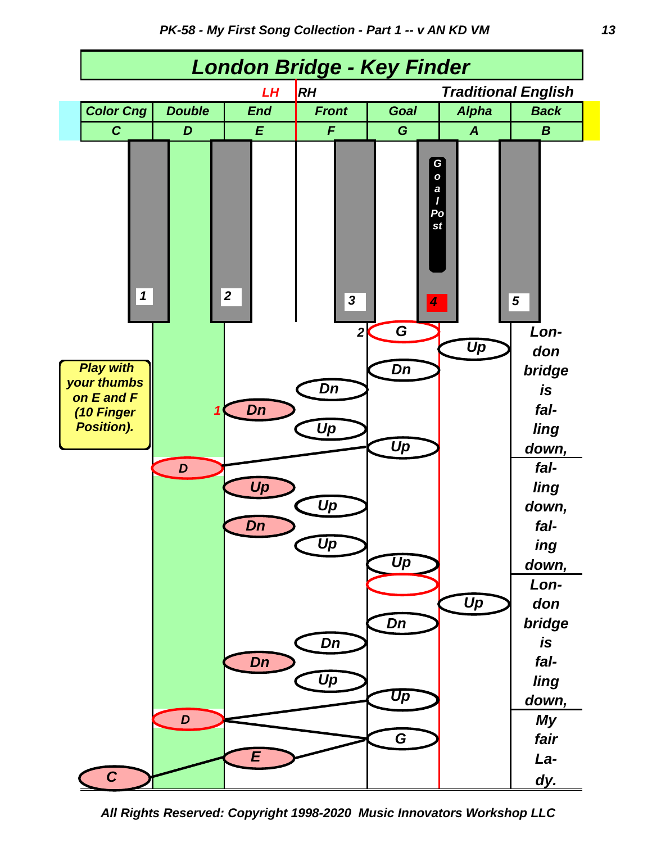

*All Rights Reserved: Copyright 1998-2020 Music Innovators Workshop LLC*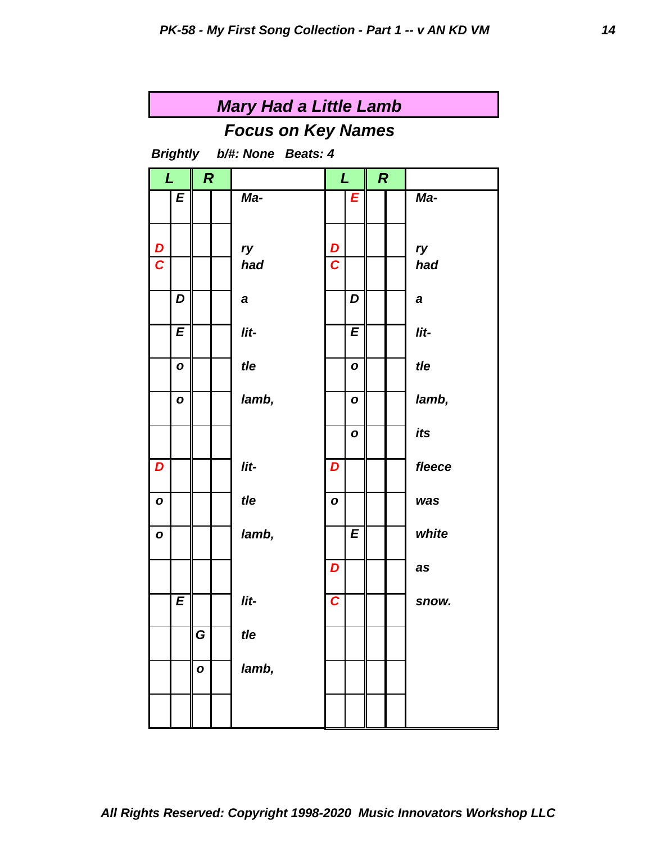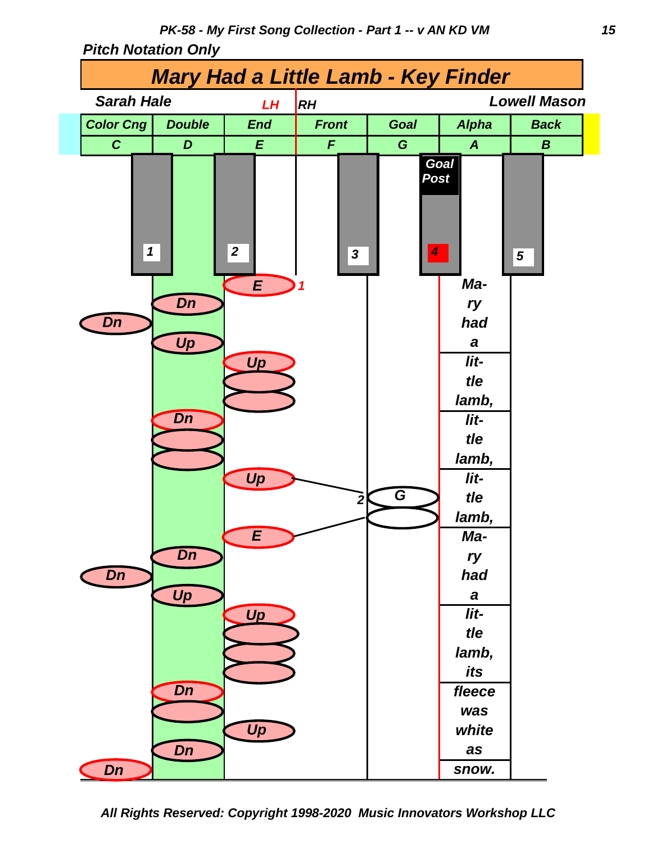

*PK-58 - My First Song Collection - Part 1 -- v AN KD VM 15*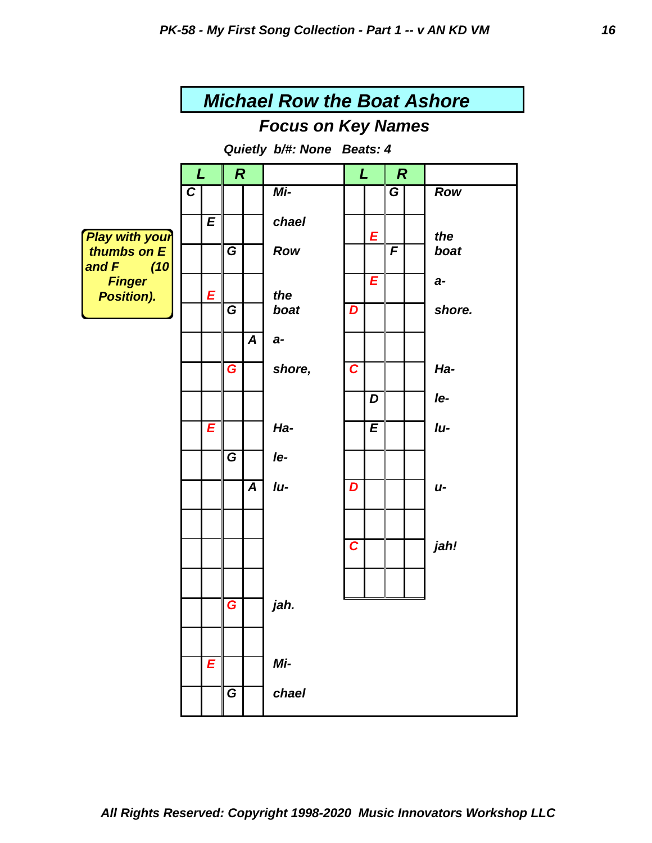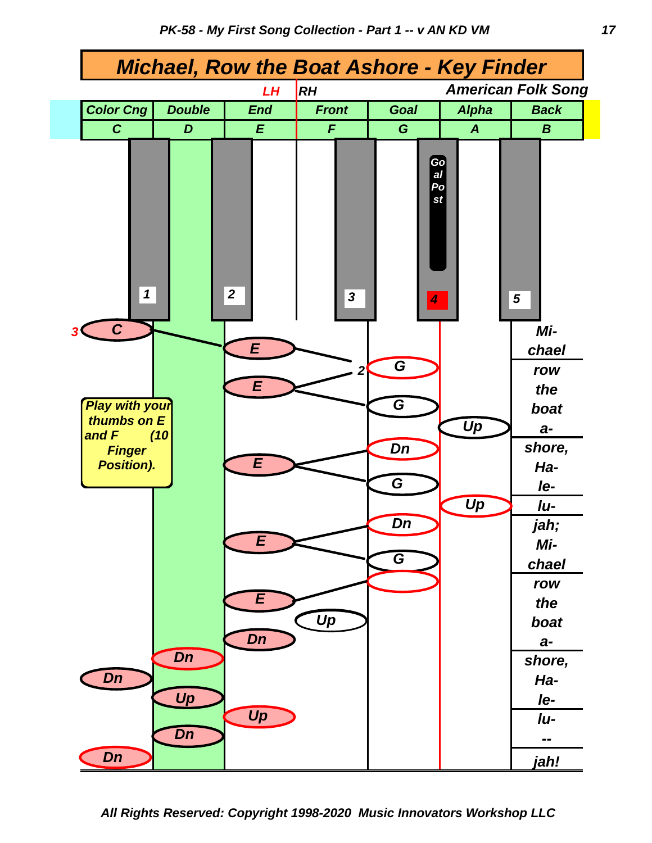

*All Rights Reserved: Copyright 1998-2020 Music Innovators Workshop LLC*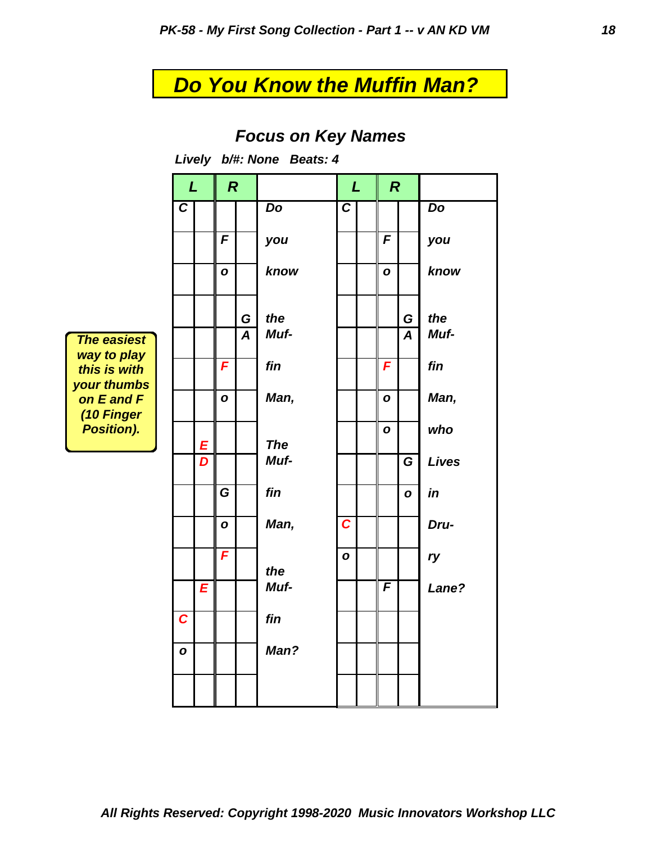### *Do You Know the Muffin Man?*



 *Focus on Key Names*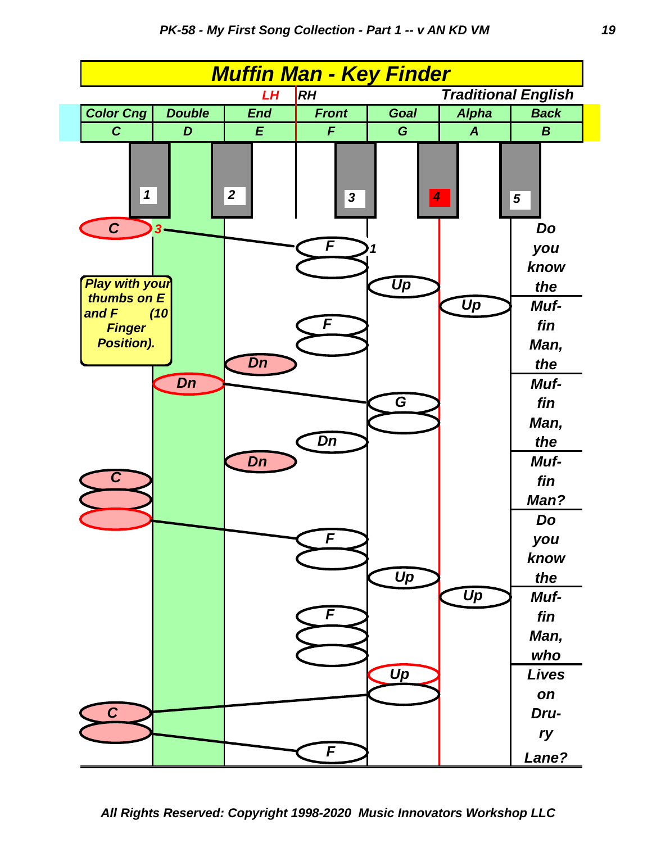

*All Rights Reserved: Copyright 1998-2020 Music Innovators Workshop LLC*